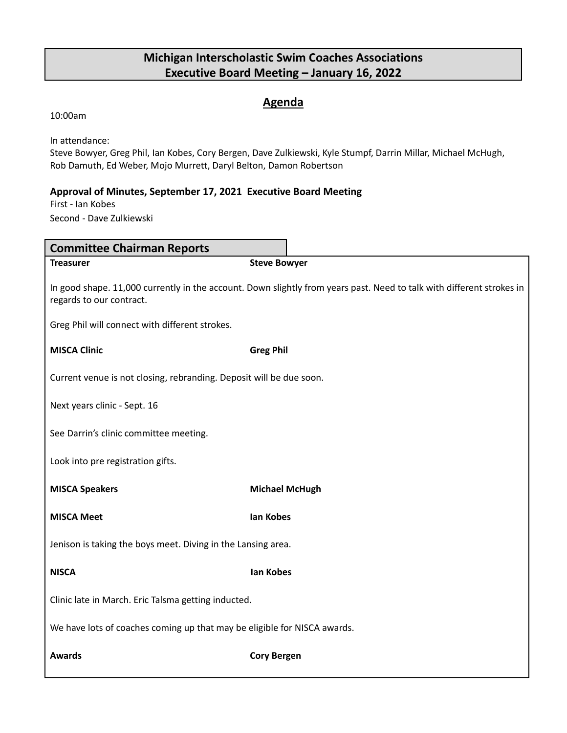#### **Agenda**

10:00am

In attendance:

Steve Bowyer, Greg Phil, Ian Kobes, Cory Bergen, Dave Zulkiewski, Kyle Stumpf, Darrin Millar, Michael McHugh, Rob Damuth, Ed Weber, Mojo Murrett, Daryl Belton, Damon Robertson

#### **Approval of Minutes, September 17, 2021 Executive Board Meeting**

First - Ian Kobes Second - Dave Zulkiewski

| <b>Committee Chairman Reports</b>                                                                                                                 |                       |  |  |  |  |
|---------------------------------------------------------------------------------------------------------------------------------------------------|-----------------------|--|--|--|--|
| <b>Treasurer</b>                                                                                                                                  | <b>Steve Bowyer</b>   |  |  |  |  |
| In good shape. 11,000 currently in the account. Down slightly from years past. Need to talk with different strokes in<br>regards to our contract. |                       |  |  |  |  |
| Greg Phil will connect with different strokes.                                                                                                    |                       |  |  |  |  |
| <b>MISCA Clinic</b>                                                                                                                               | <b>Greg Phil</b>      |  |  |  |  |
| Current venue is not closing, rebranding. Deposit will be due soon.                                                                               |                       |  |  |  |  |
| Next years clinic - Sept. 16                                                                                                                      |                       |  |  |  |  |
| See Darrin's clinic committee meeting.                                                                                                            |                       |  |  |  |  |
| Look into pre registration gifts.                                                                                                                 |                       |  |  |  |  |
| <b>MISCA Speakers</b>                                                                                                                             | <b>Michael McHugh</b> |  |  |  |  |
| <b>MISCA Meet</b>                                                                                                                                 | lan Kobes             |  |  |  |  |
| Jenison is taking the boys meet. Diving in the Lansing area.                                                                                      |                       |  |  |  |  |
| <b>NISCA</b>                                                                                                                                      | <b>Ian Kobes</b>      |  |  |  |  |
| Clinic late in March. Eric Talsma getting inducted.                                                                                               |                       |  |  |  |  |
| We have lots of coaches coming up that may be eligible for NISCA awards.                                                                          |                       |  |  |  |  |
| <b>Awards</b>                                                                                                                                     | <b>Cory Bergen</b>    |  |  |  |  |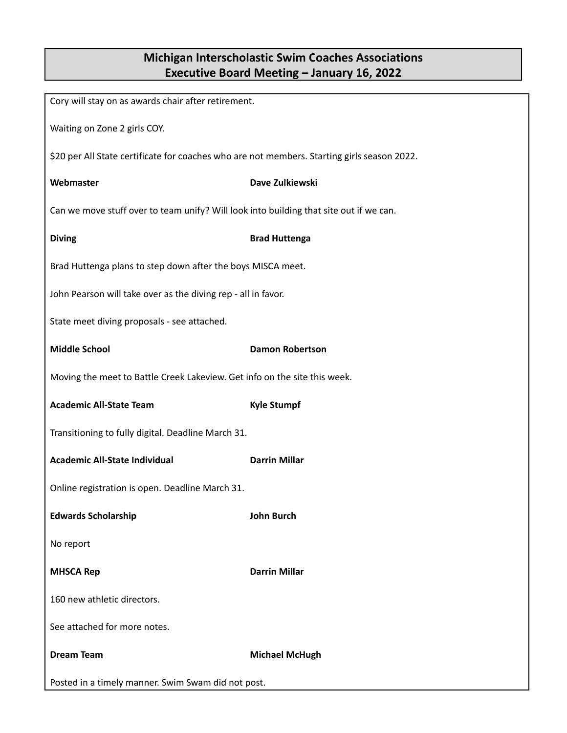| Cory will stay on as awards chair after retirement.                                         |                        |  |  |  |
|---------------------------------------------------------------------------------------------|------------------------|--|--|--|
| Waiting on Zone 2 girls COY.                                                                |                        |  |  |  |
| \$20 per All State certificate for coaches who are not members. Starting girls season 2022. |                        |  |  |  |
| Webmaster                                                                                   | Dave Zulkiewski        |  |  |  |
| Can we move stuff over to team unify? Will look into building that site out if we can.      |                        |  |  |  |
| <b>Diving</b>                                                                               | <b>Brad Huttenga</b>   |  |  |  |
| Brad Huttenga plans to step down after the boys MISCA meet.                                 |                        |  |  |  |
| John Pearson will take over as the diving rep - all in favor.                               |                        |  |  |  |
| State meet diving proposals - see attached.                                                 |                        |  |  |  |
| <b>Middle School</b>                                                                        | <b>Damon Robertson</b> |  |  |  |
| Moving the meet to Battle Creek Lakeview. Get info on the site this week.                   |                        |  |  |  |
| <b>Academic All-State Team</b>                                                              | <b>Kyle Stumpf</b>     |  |  |  |
| Transitioning to fully digital. Deadline March 31.                                          |                        |  |  |  |
| <b>Academic All-State Individual</b>                                                        | <b>Darrin Millar</b>   |  |  |  |
| Online registration is open. Deadline March 31.                                             |                        |  |  |  |
| <b>Edwards Scholarship</b>                                                                  | <b>John Burch</b>      |  |  |  |
| No report                                                                                   |                        |  |  |  |
| <b>MHSCA Rep</b>                                                                            | <b>Darrin Millar</b>   |  |  |  |
| 160 new athletic directors.                                                                 |                        |  |  |  |
| See attached for more notes.                                                                |                        |  |  |  |
| <b>Dream Team</b>                                                                           | <b>Michael McHugh</b>  |  |  |  |
| Posted in a timely manner. Swim Swam did not post.                                          |                        |  |  |  |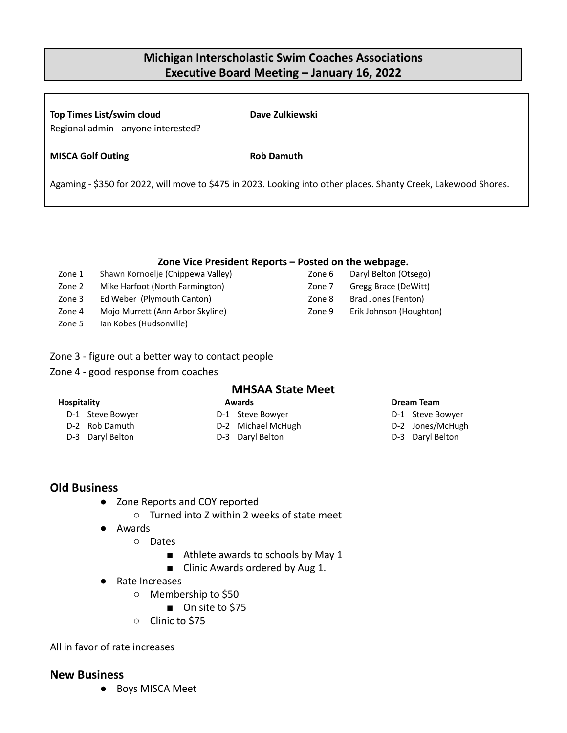**Top Times List/swim cloud Dave Zulkiewski** Regional admin - anyone interested?

**MISCA Golf Outing Rob Damuth**

Agaming - \$350 for 2022, will move to \$475 in 2023. Looking into other places. Shanty Creek, Lakewood Shores.

#### **Zone Vice President Reports – Posted on the webpage.**

- Zone 1 Shawn Kornoelje (Chippewa Valley)
- Zone 2 Mike Harfoot (North Farmington)
- Zone 3 Ed Weber (Plymouth Canton)
- Zone 4 Mojo Murrett (Ann Arbor Skyline)
- Zone 5 Ian Kobes (Hudsonville)
- Zone 3 figure out a better way to contact people
- Zone 4 good response from coaches

### **MHSAA State Meet**

# **Hospitality**

- D-1 Steve Bowyer
- D-2 Rob Damuth
- D-3 Daryl Belton
- **Awards**
- D-1 Steve Bowyer
- D-2 Michael McHugh
- D-3 Daryl Belton

#### **Dream Team**

- D-1 Steve Bowyer
- D-2 Jones/McHugh
- D-3 Daryl Belton

#### **Old Business**

- Zone Reports and COY reported
	- Turned into Z within 2 weeks of state meet
- Awards
	- Dates
		- Athlete awards to schools by May 1
		- Clinic Awards ordered by Aug 1.
- Rate Increases
	- Membership to \$50
		- On site to \$75
	- Clinic to \$75

All in favor of rate increases

#### **New Business**

● Boys MISCA Meet

# Zone 6 Daryl Belton (Otsego) Zone 7 Gregg Brace (DeWitt) Zone 8 Brad Jones (Fenton)

Zone 9 Erik Johnson (Houghton)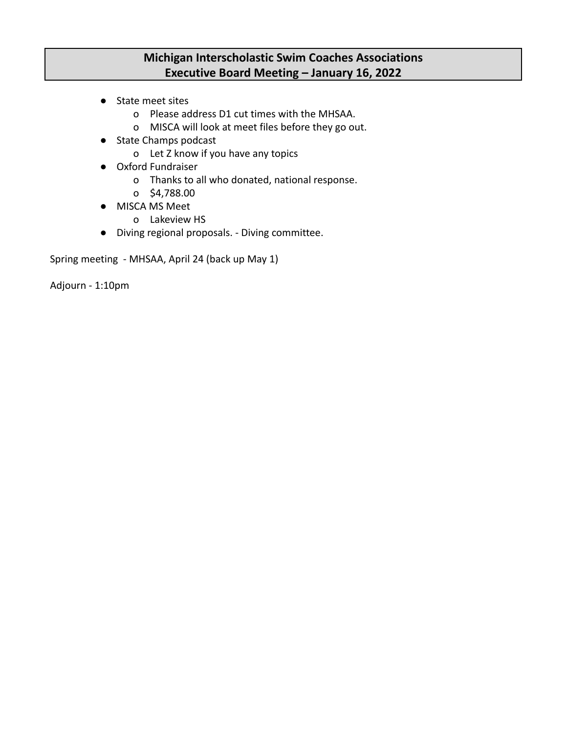- State meet sites
	- o Please address D1 cut times with the MHSAA.
	- o MISCA will look at meet files before they go out.
- State Champs podcast
	- o Let Z know if you have any topics
- Oxford Fundraiser
	- o Thanks to all who donated, national response.
	- o \$4,788.00
- MISCA MS Meet
	- o Lakeview HS
- Diving regional proposals. Diving committee.

Spring meeting - MHSAA, April 24 (back up May 1)

Adjourn - 1:10pm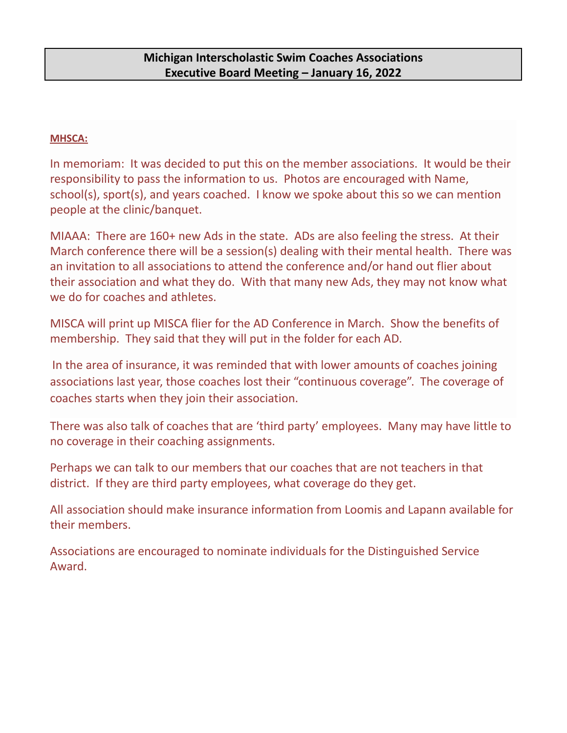#### **MHSCA:**

In memoriam: It was decided to put this on the member associations. It would be their responsibility to pass the information to us. Photos are encouraged with Name, school(s), sport(s), and years coached. I know we spoke about this so we can mention people at the clinic/banquet.

MIAAA: There are 160+ new Ads in the state. ADs are also feeling the stress. At their March conference there will be a session(s) dealing with their mental health. There was an invitation to all associations to attend the conference and/or hand out flier about their association and what they do. With that many new Ads, they may not know what we do for coaches and athletes.

MISCA will print up MISCA flier for the AD Conference in March. Show the benefits of membership. They said that they will put in the folder for each AD.

In the area of insurance, it was reminded that with lower amounts of coaches joining associations last year, those coaches lost their "continuous coverage". The coverage of coaches starts when they join their association.

There was also talk of coaches that are 'third party' employees. Many may have little to no coverage in their coaching assignments.

Perhaps we can talk to our members that our coaches that are not teachers in that district. If they are third party employees, what coverage do they get.

All association should make insurance information from Loomis and Lapann available for their members.

Associations are encouraged to nominate individuals for the Distinguished Service Award.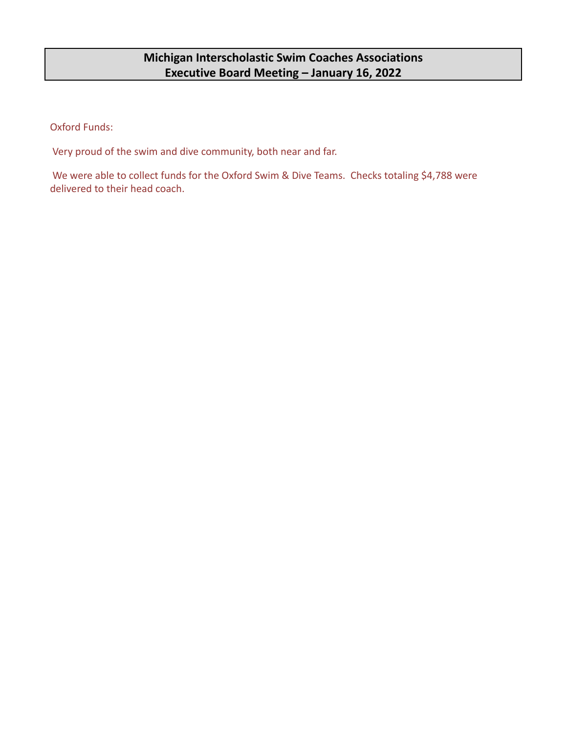Oxford Funds:

Very proud of the swim and dive community, both near and far.

We were able to collect funds for the Oxford Swim & Dive Teams. Checks totaling \$4,788 were delivered to their head coach.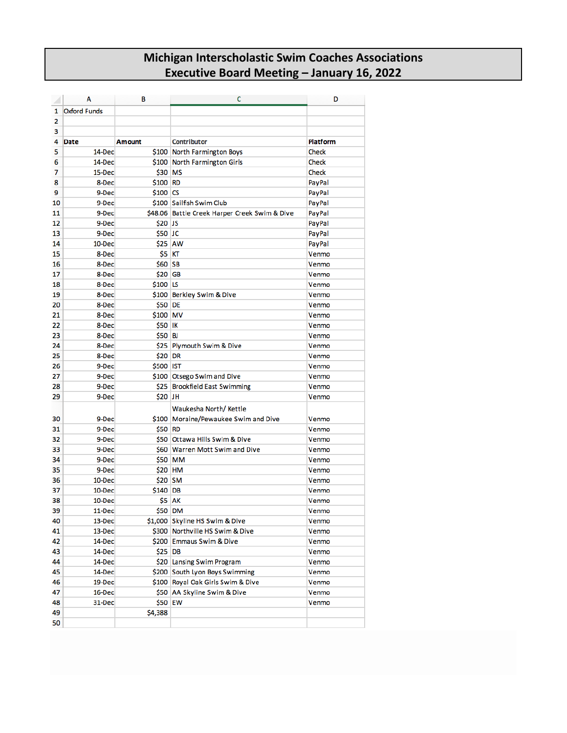|    | Α                   | В              | c                                             | D            |
|----|---------------------|----------------|-----------------------------------------------|--------------|
| 1  | <b>Oxford Funds</b> |                |                                               |              |
| 2  |                     |                |                                               |              |
| 3  |                     |                |                                               |              |
| 4  | <b>Date</b>         | <b>Amount</b>  | Contributor                                   | Platform     |
| 5  | 14-Dec              |                | \$100 North Farmington Boys                   | Check        |
| 6  | 14-Dec              |                | \$100 North Farmington Girls                  | <b>Check</b> |
| 7  | 15-Dec              | \$30 MS        |                                               | Check        |
| 8  | 8-Dec               | \$100 RD       |                                               | PayPal       |
| 9  | 9-Dec               | \$100 CS       |                                               | PayPal       |
| 10 | 9-Dec               |                | \$100 Sailfish Swim Club                      | PayPal       |
| 11 | 9-Dec               |                | \$48.06 Battle Creek Harper Creek Swim & Dive | PayPal       |
| 12 | 9-Dec               | \$20 JS        |                                               | PayPal       |
| 13 | 9-Dec               | \$50 JC        |                                               | PayPal       |
| 14 | 10-Dec              | \$25 AW        |                                               | PayPal       |
| 15 | 8-Dec               | \$5 KT         |                                               | Venmo        |
| 16 | 8-Dec               | \$60 SB        |                                               | Venmo        |
| 17 | 8-Dec               | \$20 GB        |                                               | Venmo        |
| 18 | 8-Dec               | \$100 LS       |                                               | Venmo        |
| 19 | 8-Dec               | \$100          | Berkley Swim & Dive                           | Venmo        |
| 20 | 8-Dec               | \$50 DE        |                                               | Venmo        |
| 21 | 8-Dec               | \$100 MV       |                                               | Venmo        |
| 22 | 8-Dec               | <b>\$50 IK</b> |                                               | Venmo        |
| 23 | 8-Dec               | \$50 BJ        |                                               | Venmo        |
| 24 | 8-Dec               | \$25           | Plymouth Swim & Dive                          | Venmo        |
| 25 | 8-Dec               | \$20 DR        |                                               | Venmo        |
| 26 | 9-Dec               | \$500 IST      |                                               | Venmo        |
| 27 | 9-Dec               |                | \$100 Otsego Swim and Dive                    | Venmo        |
| 28 | 9-Dec               |                | \$25 Brookfield East Swimming                 | Venmo        |
| 29 | 9-Dec               | \$20 JH        |                                               | Venmo        |
|    |                     |                | Waukesha North/Kettle                         |              |
| 30 | 9-Dec               |                | \$100 Moraine/Pewaukee Swim and Dive          | Venmo        |
| 31 | 9-Dec               | \$50 RD        |                                               | Venmo        |
| 32 | 9-Dec               |                | \$50 Ottawa Hills Swim & Dive                 | Venmo        |
| 33 | 9-Dec               |                | \$60 Warren Mott Swim and Dive                | Venmo        |
| 34 | 9-Dec               |                | \$50 MM                                       | Venmo        |
| 35 | 9-Dec               | \$20 HM        |                                               | Venmo        |
| 36 | 10-Dec              | \$20 SM        |                                               | Venmo        |
| 37 | 10-Dec              | \$140 DB       |                                               | Venmo        |
| 38 | 10-Dec              |                | <b>\$5 AK</b>                                 | Venmo        |
| 39 | 11-Dec              | \$50 DM        |                                               | Venmo        |
| 40 | 13-Dec              |                | \$1,000 Skyline HS Swim & Dive                | Venmo        |
| 41 | 13-Dec              |                | \$300 Northville HS Swim & Dive               | Venmo        |
| 42 | 14-Dec              |                | \$200 Emmaus Swim & Dive                      | Venmo        |
| 43 | 14-Dec              | \$25 DB        |                                               | Venmo        |
| 44 | 14-Dec              |                | \$20 Lansing Swim Program                     | Venmo        |
| 45 | 14-Dec              |                | \$200 South Lyon Boys Swimming                | Venmo        |
| 46 | 19-Dec              |                | \$100 Royal Oak Girls Swim & Dive             | Venmo        |
| 47 | 16-Dec              |                | \$50 AA Skyline Swim & Dive                   | Venmo        |
| 48 | 31-Dec              | \$50 EW        |                                               | Venmo        |
| 49 |                     | \$4,388        |                                               |              |
| 50 |                     |                |                                               |              |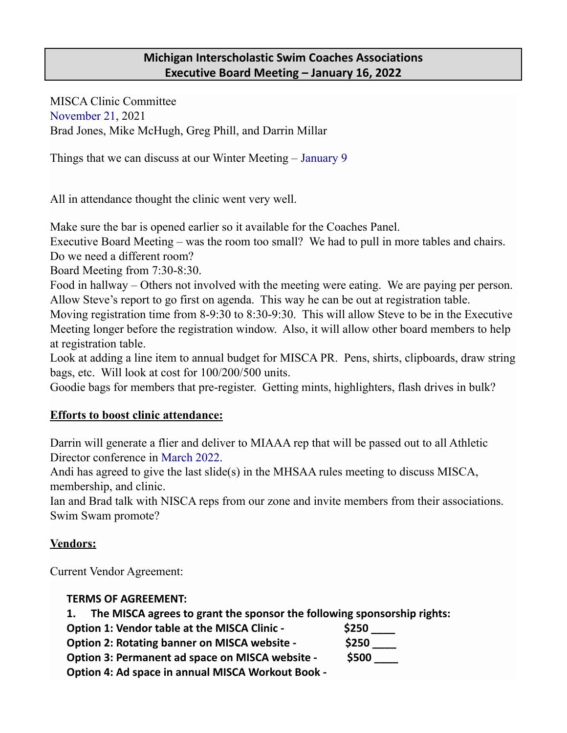MISCA Clinic Committee November 21, 2021 Brad Jones, Mike McHugh, Greg Phill, and Darrin Millar

Things that we can discuss at our Winter Meeting – January 9

All in attendance thought the clinic went very well.

Make sure the bar is opened earlier so it available for the Coaches Panel.

Executive Board Meeting – was the room too small? We had to pull in more tables and chairs. Do we need a different room?

Board Meeting from 7:30-8:30.

Food in hallway – Others not involved with the meeting were eating. We are paying per person. Allow Steve's report to go first on agenda. This way he can be out at registration table.

Moving registration time from 8-9:30 to 8:30-9:30. This will allow Steve to be in the Executive Meeting longer before the registration window. Also, it will allow other board members to help at registration table.

Look at adding a line item to annual budget for MISCA PR. Pens, shirts, clipboards, draw string bags, etc. Will look at cost for 100/200/500 units.

Goodie bags for members that pre-register. Getting mints, highlighters, flash drives in bulk?

### **Efforts to boost clinic attendance:**

Darrin will generate a flier and deliver to MIAAA rep that will be passed out to all Athletic Director conference in March 2022.

Andi has agreed to give the last slide(s) in the MHSAA rules meeting to discuss MISCA, membership, and clinic.

Ian and Brad talk with NISCA reps from our zone and invite members from their associations. Swim Swam promote?

### **Vendors:**

Current Vendor Agreement:

#### **TERMS OF AGREEMENT:**

**1. The MISCA agrees to grant the sponsor the following sponsorship rights:**

**Option 1: Vendor table at the MISCA Clinic - \$250 \_\_\_\_**

**Option 2: Rotating banner on MISCA website - \$250 \_\_\_\_**

**Option 3: Permanent ad space on MISCA website - \$500 \_\_\_\_**

**Option 4: Ad space in annual MISCA Workout Book -**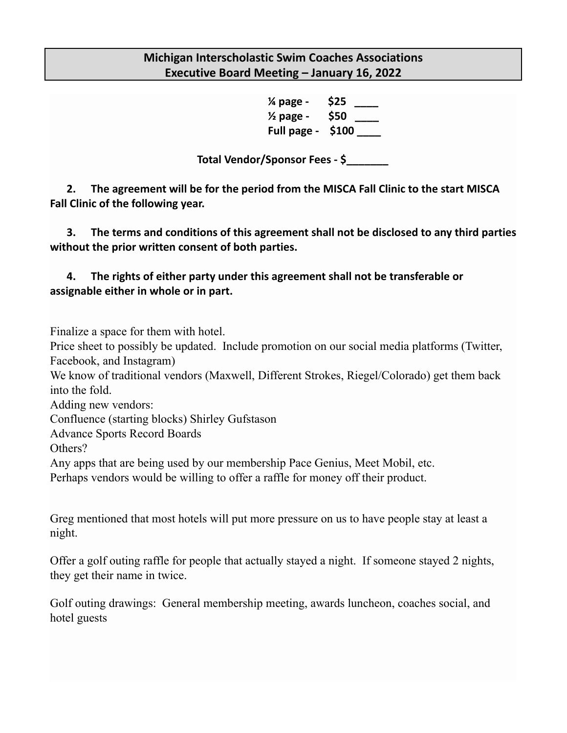**¼ page - \$25 \_\_\_\_ ½ page - \$50 \_\_\_\_ Full page - \$100 \_\_\_\_**

**Total Vendor/Sponsor Fees - \$\_\_\_\_\_\_\_**

**2. The agreement will be for the period from the MISCA Fall Clinic to the start MISCA Fall Clinic of the following year.**

**3. The terms and conditions of this agreement shall not be disclosed to any third parties without the prior written consent of both parties.**

### **4. The rights of either party under this agreement shall not be transferable or assignable either in whole or in part.**

Finalize a space for them with hotel.

Price sheet to possibly be updated. Include promotion on our social media platforms (Twitter, Facebook, and Instagram)

We know of traditional vendors (Maxwell, Different Strokes, Riegel/Colorado) get them back into the fold.

Adding new vendors:

Confluence (starting blocks) Shirley Gufstason

Advance Sports Record Boards

Others?

Any apps that are being used by our membership Pace Genius, Meet Mobil, etc.

Perhaps vendors would be willing to offer a raffle for money off their product.

Greg mentioned that most hotels will put more pressure on us to have people stay at least a night.

Offer a golf outing raffle for people that actually stayed a night. If someone stayed 2 nights, they get their name in twice.

Golf outing drawings: General membership meeting, awards luncheon, coaches social, and hotel guests